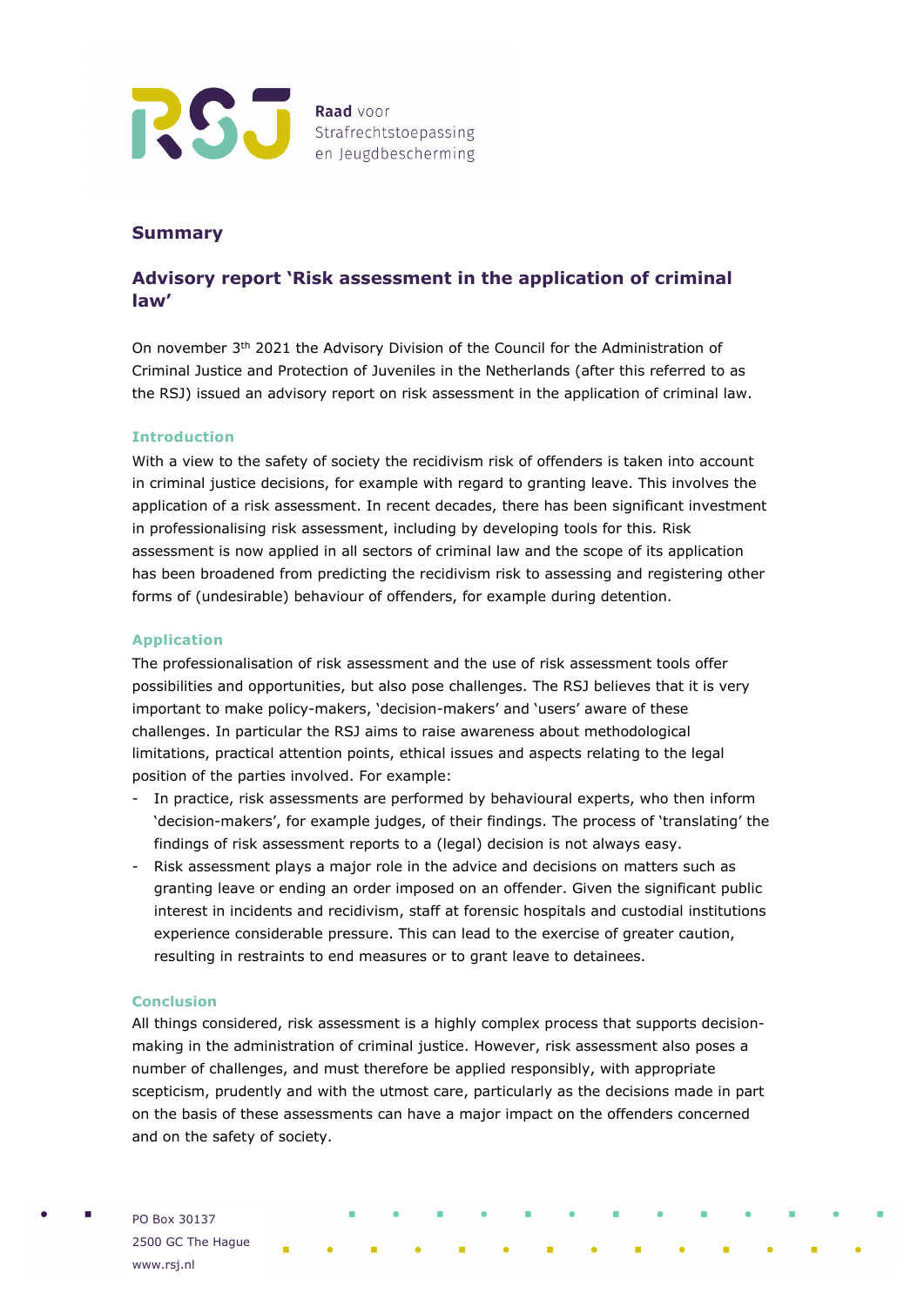

## **Summary**

# **Advisory report 'Risk assessment in the application of criminal law'**

On november 3th 2021 the Advisory Division of the Council for the Administration of Criminal Justice and Protection of Juveniles in the Netherlands (after this referred to as the RSJ) issued an advisory report on risk assessment in the application of criminal law.

## **Introduction**

With a view to the safety of society the recidivism risk of offenders is taken into account in criminal justice decisions, for example with regard to granting leave. This involves the application of a risk assessment. In recent decades, there has been significant investment in professionalising risk assessment, including by developing tools for this. Risk assessment is now applied in all sectors of criminal law and the scope of its application has been broadened from predicting the recidivism risk to assessing and registering other forms of (undesirable) behaviour of offenders, for example during detention.

#### **Application**

The professionalisation of risk assessment and the use of risk assessment tools offer possibilities and opportunities, but also pose challenges. The RSJ believes that it is very important to make policy-makers, 'decision-makers' and 'users' aware of these challenges. In particular the RSJ aims to raise awareness about methodological limitations, practical attention points, ethical issues and aspects relating to the legal position of the parties involved. For example:

- In practice, risk assessments are performed by behavioural experts, who then inform 'decision-makers', for example judges, of their findings. The process of 'translating' the findings of risk assessment reports to a (legal) decision is not always easy.
- Risk assessment plays a major role in the advice and decisions on matters such as granting leave or ending an order imposed on an offender. Given the significant public interest in incidents and recidivism, staff at forensic hospitals and custodial institutions experience considerable pressure. This can lead to the exercise of greater caution, resulting in restraints to end measures or to grant leave to detainees.

## **Conclusion**

All things considered, risk assessment is a highly complex process that supports decisionmaking in the administration of criminal justice. However, risk assessment also poses a number of challenges, and must therefore be applied responsibly, with appropriate scepticism, prudently and with the utmost care, particularly as the decisions made in part on the basis of these assessments can have a major impact on the offenders concerned and on the safety of society.

PO Box 30137 2500 GC The Hague www.rsj.nl